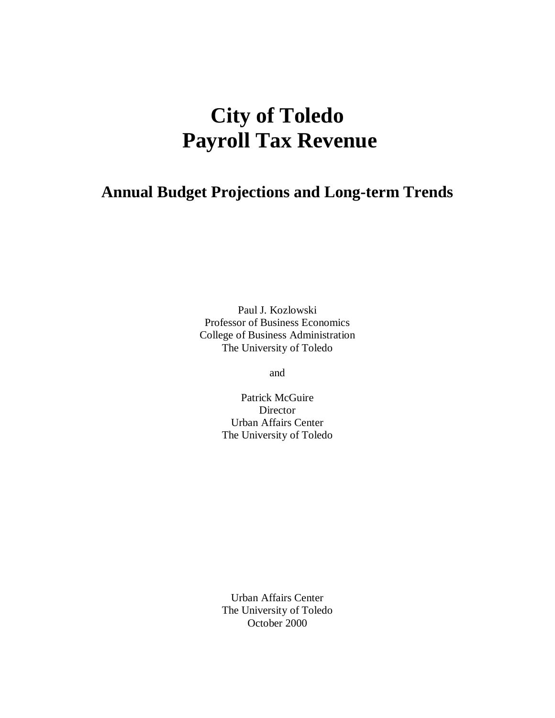# **City of Toledo Payroll Tax Revenue**

# **Annual Budget Projections and Long-term Trends**

Paul J. Kozlowski Professor of Business Economics College of Business Administration The University of Toledo

and

Patrick McGuire Director Urban Affairs Center The University of Toledo

Urban Affairs Center The University of Toledo October 2000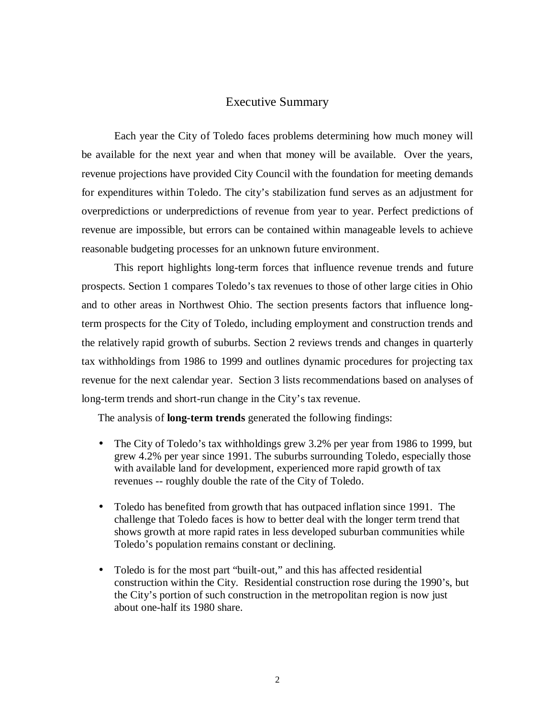#### Executive Summary

Each year the City of Toledo faces problems determining how much money will be available for the next year and when that money will be available. Over the years, revenue projections have provided City Council with the foundation for meeting demands for expenditures within Toledo. The city's stabilization fund serves as an adjustment for overpredictions or underpredictions of revenue from year to year. Perfect predictions of revenue are impossible, but errors can be contained within manageable levels to achieve reasonable budgeting processes for an unknown future environment.

This report highlights long-term forces that influence revenue trends and future prospects. Section 1 compares Toledo's tax revenues to those of other large cities in Ohio and to other areas in Northwest Ohio. The section presents factors that influence longterm prospects for the City of Toledo, including employment and construction trends and the relatively rapid growth of suburbs. Section 2 reviews trends and changes in quarterly tax withholdings from 1986 to 1999 and outlines dynamic procedures for projecting tax revenue for the next calendar year. Section 3 lists recommendations based on analyses of long-term trends and short-run change in the City's tax revenue.

The analysis of **long-term trends** generated the following findings:

- The City of Toledo's tax withholdings grew 3.2% per year from 1986 to 1999, but grew 4.2% per year since 1991. The suburbs surrounding Toledo, especially those with available land for development, experienced more rapid growth of tax revenues -- roughly double the rate of the City of Toledo.
- Toledo has benefited from growth that has outpaced inflation since 1991. The challenge that Toledo faces is how to better deal with the longer term trend that shows growth at more rapid rates in less developed suburban communities while Toledo's population remains constant or declining.
- Toledo is for the most part "built-out," and this has affected residential construction within the City. Residential construction rose during the 1990's, but the City's portion of such construction in the metropolitan region is now just about one-half its 1980 share.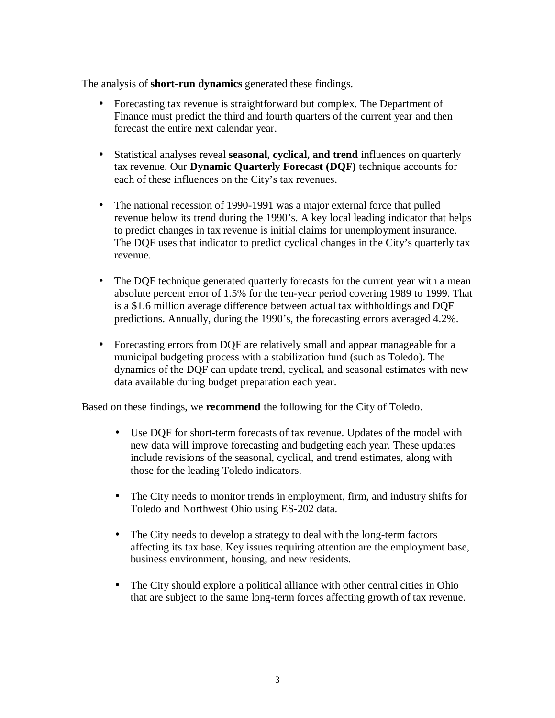The analysis of **short-run dynamics** generated these findings.

- Forecasting tax revenue is straightforward but complex. The Department of Finance must predict the third and fourth quarters of the current year and then forecast the entire next calendar year.
- Statistical analyses reveal **seasonal, cyclical, and trend** influences on quarterly tax revenue. Our **Dynamic Quarterly Forecast (DQF)** technique accounts for each of these influences on the City's tax revenues.
- The national recession of 1990-1991 was a major external force that pulled revenue below its trend during the 1990's. A key local leading indicator that helps to predict changes in tax revenue is initial claims for unemployment insurance. The DQF uses that indicator to predict cyclical changes in the City's quarterly tax revenue.
- The DQF technique generated quarterly forecasts for the current year with a mean absolute percent error of 1.5% for the ten-year period covering 1989 to 1999. That is a \$1.6 million average difference between actual tax withholdings and DQF predictions. Annually, during the 1990's, the forecasting errors averaged 4.2%.
- Forecasting errors from DQF are relatively small and appear manageable for a municipal budgeting process with a stabilization fund (such as Toledo). The dynamics of the DQF can update trend, cyclical, and seasonal estimates with new data available during budget preparation each year.

Based on these findings, we **recommend** the following for the City of Toledo.

- Use DQF for short-term forecasts of tax revenue. Updates of the model with new data will improve forecasting and budgeting each year. These updates include revisions of the seasonal, cyclical, and trend estimates, along with those for the leading Toledo indicators.
- The City needs to monitor trends in employment, firm, and industry shifts for Toledo and Northwest Ohio using ES-202 data.
- The City needs to develop a strategy to deal with the long-term factors affecting its tax base. Key issues requiring attention are the employment base, business environment, housing, and new residents.
- The City should explore a political alliance with other central cities in Ohio that are subject to the same long-term forces affecting growth of tax revenue.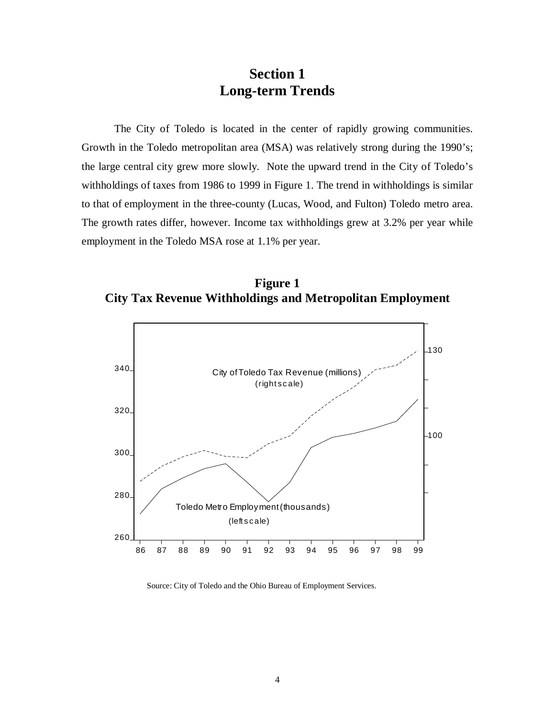### **Section 1 Long-term Trends**

The City of Toledo is located in the center of rapidly growing communities. Growth in the Toledo metropolitan area (MSA) was relatively strong during the 1990's; the large central city grew more slowly. Note the upward trend in the City of Toledo's withholdings of taxes from 1986 to 1999 in Figure 1. The trend in withholdings is similar to that of employment in the three-county (Lucas, Wood, and Fulton) Toledo metro area. The growth rates differ, however. Income tax withholdings grew at 3.2% per year while employment in the Toledo MSA rose at 1.1% per year.

**Figure 1 City Tax Revenue Withholdings and Metropolitan Employment**



Source: City of Toledo and the Ohio Bureau of Employment Services.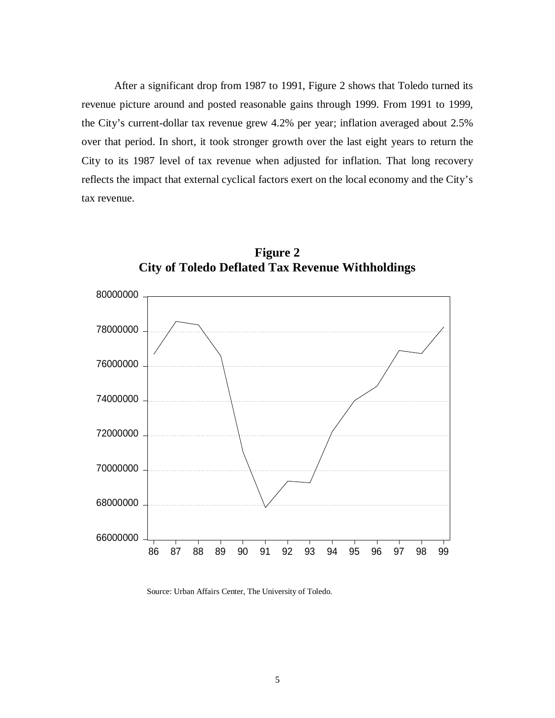After a significant drop from 1987 to 1991, Figure 2 shows that Toledo turned its revenue picture around and posted reasonable gains through 1999. From 1991 to 1999, the City's current-dollar tax revenue grew 4.2% per year; inflation averaged about 2.5% over that period. In short, it took stronger growth over the last eight years to return the City to its 1987 level of tax revenue when adjusted for inflation. That long recovery reflects the impact that external cyclical factors exert on the local economy and the City's tax revenue.





Source: Urban Affairs Center, The University of Toledo.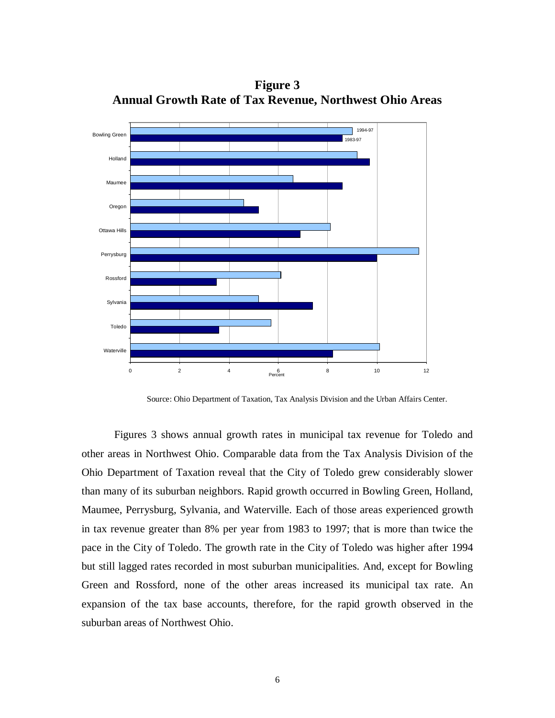

**Figure 3 Annual Growth Rate of Tax Revenue, Northwest Ohio Areas**

Source: Ohio Department of Taxation, Tax Analysis Division and the Urban Affairs Center.

Figures 3 shows annual growth rates in municipal tax revenue for Toledo and other areas in Northwest Ohio. Comparable data from the Tax Analysis Division of the Ohio Department of Taxation reveal that the City of Toledo grew considerably slower than many of its suburban neighbors. Rapid growth occurred in Bowling Green, Holland, Maumee, Perrysburg, Sylvania, and Waterville. Each of those areas experienced growth in tax revenue greater than 8% per year from 1983 to 1997; that is more than twice the pace in the City of Toledo. The growth rate in the City of Toledo was higher after 1994 but still lagged rates recorded in most suburban municipalities. And, except for Bowling Green and Rossford, none of the other areas increased its municipal tax rate. An expansion of the tax base accounts, therefore, for the rapid growth observed in the suburban areas of Northwest Ohio.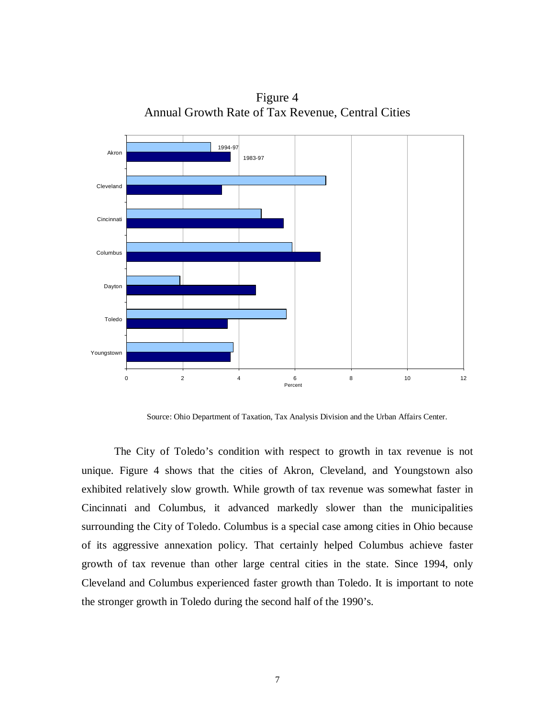

Figure 4 Annual Growth Rate of Tax Revenue, Central Cities

Source: Ohio Department of Taxation, Tax Analysis Division and the Urban Affairs Center.

The City of Toledo's condition with respect to growth in tax revenue is not unique. Figure 4 shows that the cities of Akron, Cleveland, and Youngstown also exhibited relatively slow growth. While growth of tax revenue was somewhat faster in Cincinnati and Columbus, it advanced markedly slower than the municipalities surrounding the City of Toledo. Columbus is a special case among cities in Ohio because of its aggressive annexation policy. That certainly helped Columbus achieve faster growth of tax revenue than other large central cities in the state. Since 1994, only Cleveland and Columbus experienced faster growth than Toledo. It is important to note the stronger growth in Toledo during the second half of the 1990's.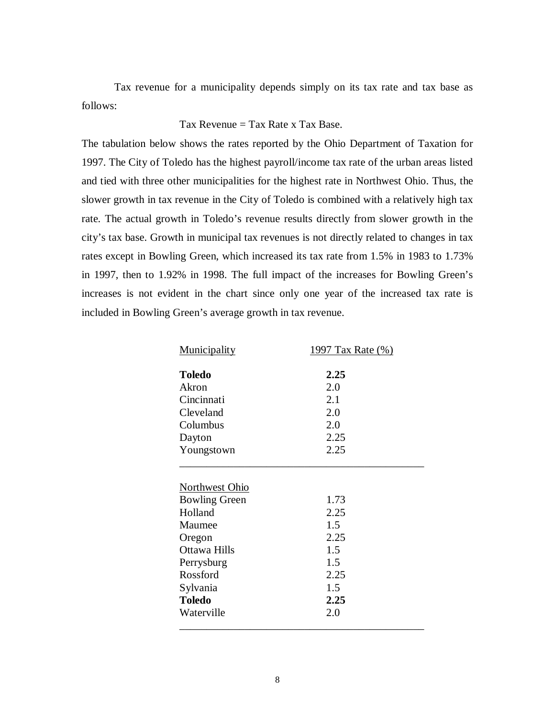Tax revenue for a municipality depends simply on its tax rate and tax base as follows:

#### Tax Revenue  $=$  Tax Rate x Tax Base.

The tabulation below shows the rates reported by the Ohio Department of Taxation for 1997. The City of Toledo has the highest payroll/income tax rate of the urban areas listed and tied with three other municipalities for the highest rate in Northwest Ohio. Thus, the slower growth in tax revenue in the City of Toledo is combined with a relatively high tax rate. The actual growth in Toledo's revenue results directly from slower growth in the city's tax base. Growth in municipal tax revenues is not directly related to changes in tax rates except in Bowling Green, which increased its tax rate from 1.5% in 1983 to 1.73% in 1997, then to 1.92% in 1998. The full impact of the increases for Bowling Green's increases is not evident in the chart since only one year of the increased tax rate is included in Bowling Green's average growth in tax revenue.

| Municipality              | 1997 Tax Rate (%) |
|---------------------------|-------------------|
| <b>Toledo</b>             | 2.25              |
| Akron                     | 2.0               |
| Cincinnati                | 2.1               |
| Cleveland                 | 2.0               |
| Columbus                  | 2.0               |
| Dayton                    | 2.25              |
| Youngstown                | 2.25              |
| Holland                   | 2.25              |
| <b>Bowling Green</b>      | 1.73              |
|                           |                   |
|                           |                   |
| Maumee                    | 1.5               |
| Oregon                    | 2.25              |
| Ottawa Hills              | 1.5               |
| Perrysburg<br>Rossford    | 1.5               |
|                           | 2.25<br>1.5       |
| Sylvania<br><b>Toledo</b> | 2.25              |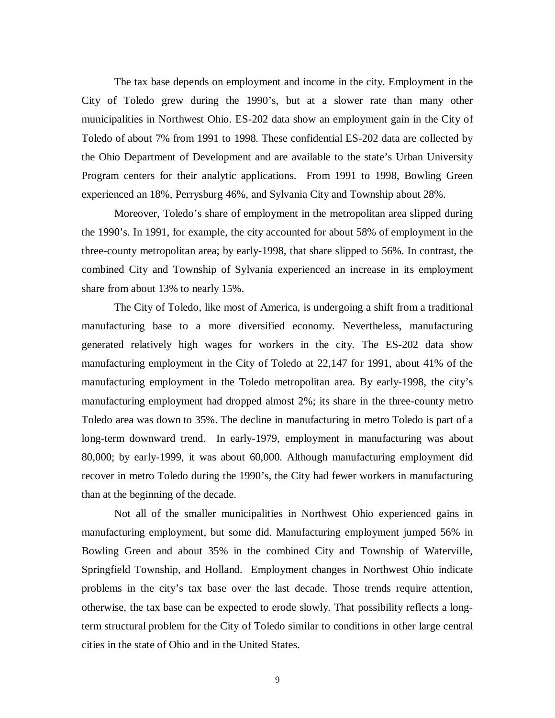The tax base depends on employment and income in the city. Employment in the City of Toledo grew during the 1990's, but at a slower rate than many other municipalities in Northwest Ohio. ES-202 data show an employment gain in the City of Toledo of about 7% from 1991 to 1998. These confidential ES-202 data are collected by the Ohio Department of Development and are available to the state's Urban University Program centers for their analytic applications. From 1991 to 1998, Bowling Green experienced an 18%, Perrysburg 46%, and Sylvania City and Township about 28%.

Moreover, Toledo's share of employment in the metropolitan area slipped during the 1990's. In 1991, for example, the city accounted for about 58% of employment in the three-county metropolitan area; by early-1998, that share slipped to 56%. In contrast, the combined City and Township of Sylvania experienced an increase in its employment share from about 13% to nearly 15%.

The City of Toledo, like most of America, is undergoing a shift from a traditional manufacturing base to a more diversified economy. Nevertheless, manufacturing generated relatively high wages for workers in the city. The ES-202 data show manufacturing employment in the City of Toledo at 22,147 for 1991, about 41% of the manufacturing employment in the Toledo metropolitan area. By early-1998, the city's manufacturing employment had dropped almost 2%; its share in the three-county metro Toledo area was down to 35%. The decline in manufacturing in metro Toledo is part of a long-term downward trend. In early-1979, employment in manufacturing was about 80,000; by early-1999, it was about 60,000. Although manufacturing employment did recover in metro Toledo during the 1990's, the City had fewer workers in manufacturing than at the beginning of the decade.

Not all of the smaller municipalities in Northwest Ohio experienced gains in manufacturing employment, but some did. Manufacturing employment jumped 56% in Bowling Green and about 35% in the combined City and Township of Waterville, Springfield Township, and Holland. Employment changes in Northwest Ohio indicate problems in the city's tax base over the last decade. Those trends require attention, otherwise, the tax base can be expected to erode slowly. That possibility reflects a longterm structural problem for the City of Toledo similar to conditions in other large central cities in the state of Ohio and in the United States.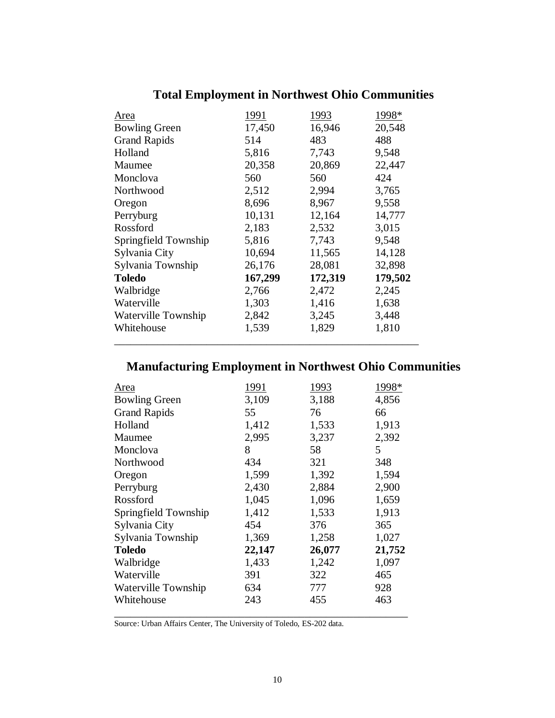| 1991    | 1993    | 1998*   |
|---------|---------|---------|
| 17,450  | 16,946  | 20,548  |
| 514     | 483     | 488     |
| 5,816   | 7,743   | 9,548   |
| 20,358  | 20,869  | 22,447  |
| 560     | 560     | 424     |
| 2,512   | 2,994   | 3,765   |
| 8,696   | 8,967   | 9,558   |
| 10,131  | 12,164  | 14,777  |
| 2,183   | 2,532   | 3,015   |
| 5,816   | 7,743   | 9,548   |
| 10,694  | 11,565  | 14,128  |
| 26,176  | 28,081  | 32,898  |
| 167,299 | 172,319 | 179,502 |
| 2,766   | 2,472   | 2,245   |
| 1,303   | 1,416   | 1,638   |
| 2,842   | 3,245   | 3,448   |
| 1,539   | 1,829   | 1,810   |
|         |         |         |

## **Total Employment in Northwest Ohio Communities**

# **Manufacturing Employment in Northwest Ohio Communities**

| Area                 | 1991   | 1993   | 1998*  |
|----------------------|--------|--------|--------|
| <b>Bowling Green</b> | 3,109  | 3,188  | 4,856  |
| <b>Grand Rapids</b>  | 55     | 76     | 66     |
| Holland              | 1,412  | 1,533  | 1,913  |
| Maumee               | 2,995  | 3,237  | 2,392  |
| Monclova             | 8      | 58     | 5      |
| Northwood            | 434    | 321    | 348    |
| Oregon               | 1,599  | 1,392  | 1,594  |
| Perryburg            | 2,430  | 2,884  | 2,900  |
| Rossford             | 1,045  | 1,096  | 1,659  |
| Springfield Township | 1,412  | 1,533  | 1,913  |
| Sylvania City        | 454    | 376    | 365    |
| Sylvania Township    | 1,369  | 1,258  | 1,027  |
| <b>Toledo</b>        | 22,147 | 26,077 | 21,752 |
| Walbridge            | 1,433  | 1,242  | 1,097  |
| Waterville           | 391    | 322    | 465    |
| Waterville Township  | 634    | 777    | 928    |
| Whitehouse           | 243    | 455    | 463    |
|                      |        |        |        |

Source: Urban Affairs Center, The University of Toledo, ES-202 data.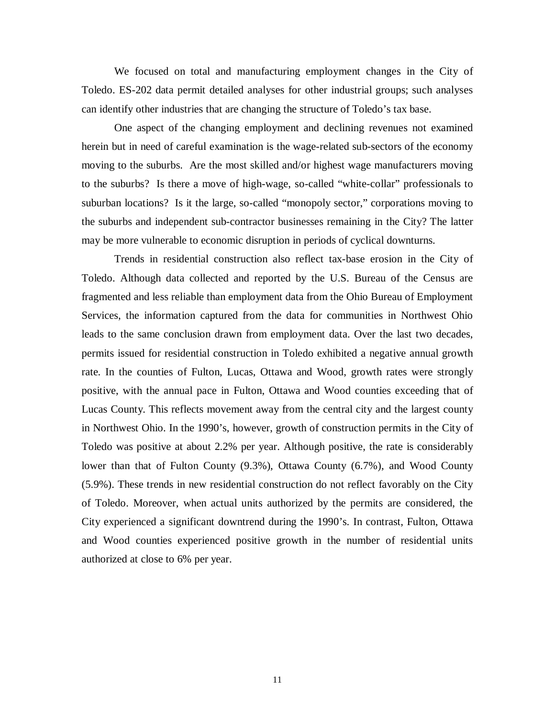We focused on total and manufacturing employment changes in the City of Toledo. ES-202 data permit detailed analyses for other industrial groups; such analyses can identify other industries that are changing the structure of Toledo's tax base.

One aspect of the changing employment and declining revenues not examined herein but in need of careful examination is the wage-related sub-sectors of the economy moving to the suburbs. Are the most skilled and/or highest wage manufacturers moving to the suburbs? Is there a move of high-wage, so-called "white-collar" professionals to suburban locations? Is it the large, so-called "monopoly sector," corporations moving to the suburbs and independent sub-contractor businesses remaining in the City? The latter may be more vulnerable to economic disruption in periods of cyclical downturns.

Trends in residential construction also reflect tax-base erosion in the City of Toledo. Although data collected and reported by the U.S. Bureau of the Census are fragmented and less reliable than employment data from the Ohio Bureau of Employment Services, the information captured from the data for communities in Northwest Ohio leads to the same conclusion drawn from employment data. Over the last two decades, permits issued for residential construction in Toledo exhibited a negative annual growth rate. In the counties of Fulton, Lucas, Ottawa and Wood, growth rates were strongly positive, with the annual pace in Fulton, Ottawa and Wood counties exceeding that of Lucas County. This reflects movement away from the central city and the largest county in Northwest Ohio. In the 1990's, however, growth of construction permits in the City of Toledo was positive at about 2.2% per year. Although positive, the rate is considerably lower than that of Fulton County (9.3%), Ottawa County (6.7%), and Wood County (5.9%). These trends in new residential construction do not reflect favorably on the City of Toledo. Moreover, when actual units authorized by the permits are considered, the City experienced a significant downtrend during the 1990's. In contrast, Fulton, Ottawa and Wood counties experienced positive growth in the number of residential units authorized at close to 6% per year.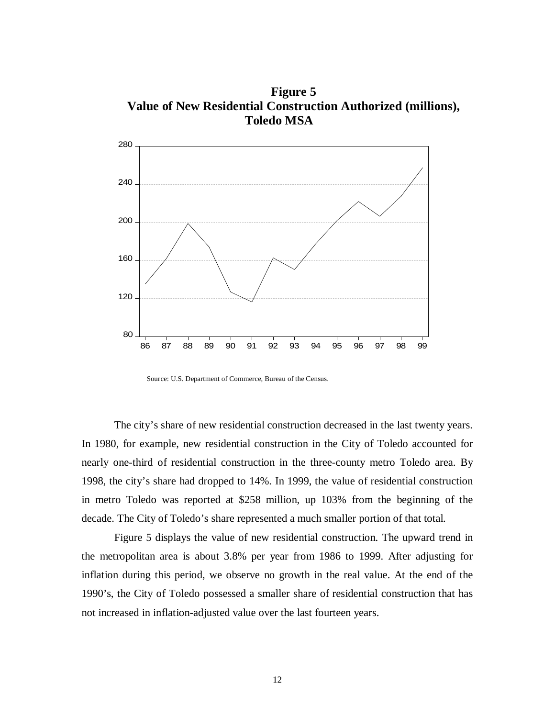**Figure 5 Value of New Residential Construction Authorized (millions), Toledo MSA**



Source: U.S. Department of Commerce, Bureau of the Census.

The city's share of new residential construction decreased in the last twenty years. In 1980, for example, new residential construction in the City of Toledo accounted for nearly one-third of residential construction in the three-county metro Toledo area. By 1998, the city's share had dropped to 14%. In 1999, the value of residential construction in metro Toledo was reported at \$258 million, up 103% from the beginning of the decade. The City of Toledo's share represented a much smaller portion of that total.

Figure 5 displays the value of new residential construction. The upward trend in the metropolitan area is about 3.8% per year from 1986 to 1999. After adjusting for inflation during this period, we observe no growth in the real value. At the end of the 1990's, the City of Toledo possessed a smaller share of residential construction that has not increased in inflation-adjusted value over the last fourteen years.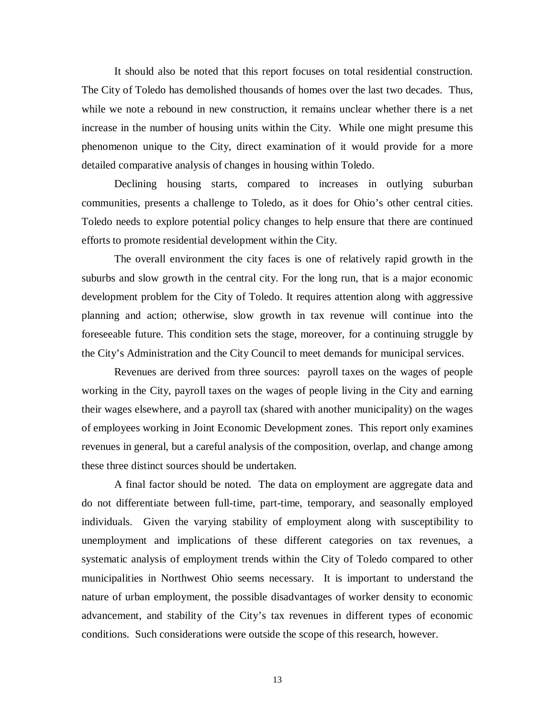It should also be noted that this report focuses on total residential construction. The City of Toledo has demolished thousands of homes over the last two decades. Thus, while we note a rebound in new construction, it remains unclear whether there is a net increase in the number of housing units within the City. While one might presume this phenomenon unique to the City, direct examination of it would provide for a more detailed comparative analysis of changes in housing within Toledo.

 Declining housing starts, compared to increases in outlying suburban communities, presents a challenge to Toledo, as it does for Ohio's other central cities. Toledo needs to explore potential policy changes to help ensure that there are continued efforts to promote residential development within the City.

The overall environment the city faces is one of relatively rapid growth in the suburbs and slow growth in the central city. For the long run, that is a major economic development problem for the City of Toledo. It requires attention along with aggressive planning and action; otherwise, slow growth in tax revenue will continue into the foreseeable future. This condition sets the stage, moreover, for a continuing struggle by the City's Administration and the City Council to meet demands for municipal services.

 Revenues are derived from three sources: payroll taxes on the wages of people working in the City, payroll taxes on the wages of people living in the City and earning their wages elsewhere, and a payroll tax (shared with another municipality) on the wages of employees working in Joint Economic Development zones. This report only examines revenues in general, but a careful analysis of the composition, overlap, and change among these three distinct sources should be undertaken.

 A final factor should be noted. The data on employment are aggregate data and do not differentiate between full-time, part-time, temporary, and seasonally employed individuals. Given the varying stability of employment along with susceptibility to unemployment and implications of these different categories on tax revenues, a systematic analysis of employment trends within the City of Toledo compared to other municipalities in Northwest Ohio seems necessary. It is important to understand the nature of urban employment, the possible disadvantages of worker density to economic advancement, and stability of the City's tax revenues in different types of economic conditions. Such considerations were outside the scope of this research, however.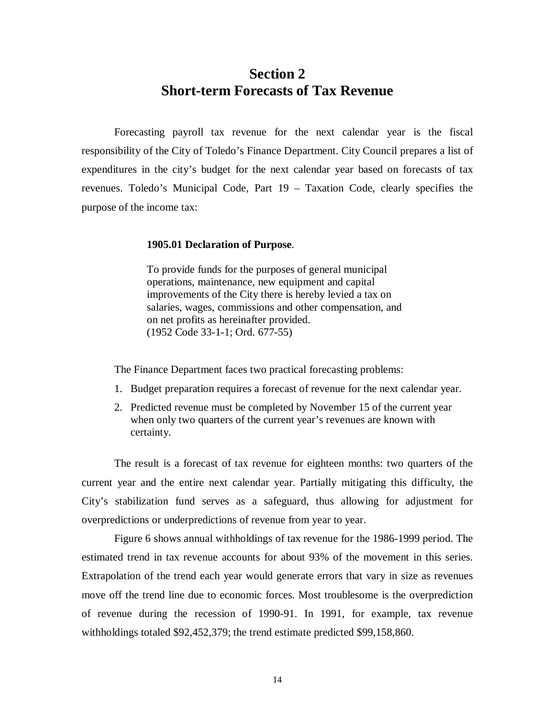### **Section 2 Short-term Forecasts of Tax Revenue**

Forecasting payroll tax revenue for the next calendar year is the fiscal responsibility of the City of Toledo's Finance Department. City Council prepares a list of expenditures in the city's budget for the next calendar year based on forecasts of tax revenues. Toledo's Municipal Code, Part 19 – Taxation Code, clearly specifies the purpose of the income tax:

#### **1905.01 Declaration of Purpose**.

To provide funds for the purposes of general municipal operations, maintenance, new equipment and capital improvements of the City there is hereby levied a tax on salaries, wages, commissions and other compensation, and on net profits as hereinafter provided. (1952 Code 33-1-1; Ord. 677-55)

The Finance Department faces two practical forecasting problems:

- 1. Budget preparation requires a forecast of revenue for the next calendar year.
- 2. Predicted revenue must be completed by November 15 of the current year when only two quarters of the current year's revenues are known with certainty.

The result is a forecast of tax revenue for eighteen months: two quarters of the current year and the entire next calendar year. Partially mitigating this difficulty, the City's stabilization fund serves as a safeguard, thus allowing for adjustment for overpredictions or underpredictions of revenue from year to year.

Figure 6 shows annual withholdings of tax revenue for the 1986-1999 period. The estimated trend in tax revenue accounts for about 93% of the movement in this series. Extrapolation of the trend each year would generate errors that vary in size as revenues move off the trend line due to economic forces. Most troublesome is the overprediction of revenue during the recession of 1990-91. In 1991, for example, tax revenue withholdings totaled \$92,452,379; the trend estimate predicted \$99,158,860.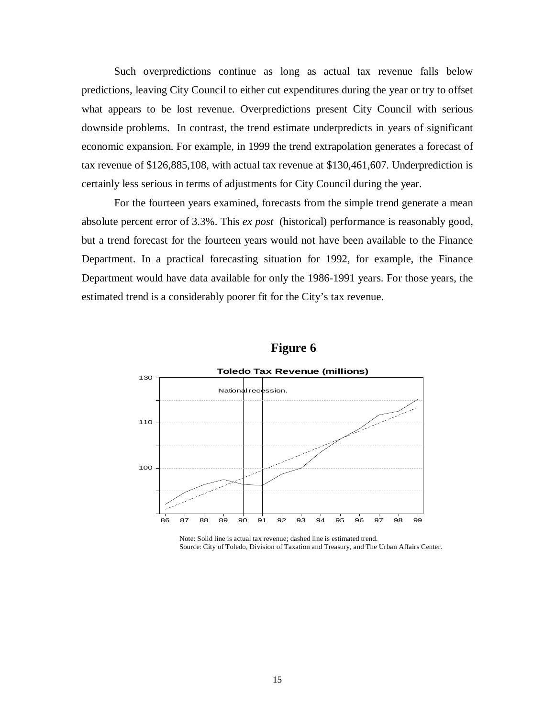Such overpredictions continue as long as actual tax revenue falls below predictions, leaving City Council to either cut expenditures during the year or try to offset what appears to be lost revenue. Overpredictions present City Council with serious downside problems. In contrast, the trend estimate underpredicts in years of significant economic expansion. For example, in 1999 the trend extrapolation generates a forecast of tax revenue of \$126,885,108, with actual tax revenue at \$130,461,607. Underprediction is certainly less serious in terms of adjustments for City Council during the year.

For the fourteen years examined, forecasts from the simple trend generate a mean absolute percent error of 3.3%. This *ex post* (historical) performance is reasonably good, but a trend forecast for the fourteen years would not have been available to the Finance Department. In a practical forecasting situation for 1992, for example, the Finance Department would have data available for only the 1986-1991 years. For those years, the estimated trend is a considerably poorer fit for the City's tax revenue.





 Note: Solid line is actual tax revenue; dashed line is estimated trend. Source: City of Toledo, Division of Taxation and Treasury, and The Urban Affairs Center.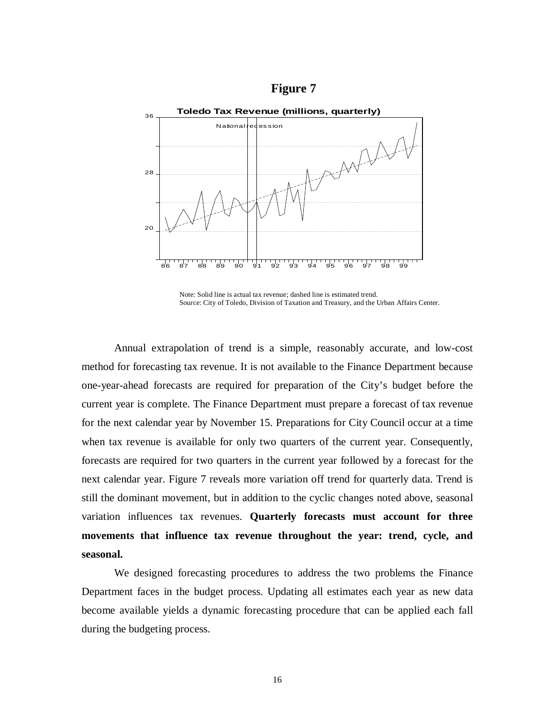



Note: Solid line is actual tax revenue; dashed line is estimated trend. Source: City of Toledo, Division of Taxation and Treasury, and the Urban Affairs Center.

Annual extrapolation of trend is a simple, reasonably accurate, and low-cost method for forecasting tax revenue. It is not available to the Finance Department because one-year-ahead forecasts are required for preparation of the City's budget before the current year is complete. The Finance Department must prepare a forecast of tax revenue for the next calendar year by November 15. Preparations for City Council occur at a time when tax revenue is available for only two quarters of the current year. Consequently, forecasts are required for two quarters in the current year followed by a forecast for the next calendar year. Figure 7 reveals more variation off trend for quarterly data. Trend is still the dominant movement, but in addition to the cyclic changes noted above, seasonal variation influences tax revenues. **Quarterly forecasts must account for three movements that influence tax revenue throughout the year: trend, cycle, and seasonal.**

We designed forecasting procedures to address the two problems the Finance Department faces in the budget process. Updating all estimates each year as new data become available yields a dynamic forecasting procedure that can be applied each fall during the budgeting process.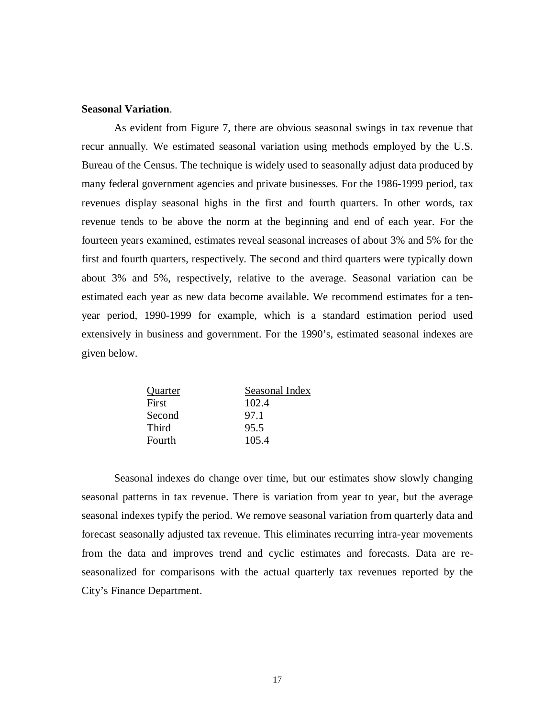#### **Seasonal Variation**.

As evident from Figure 7, there are obvious seasonal swings in tax revenue that recur annually. We estimated seasonal variation using methods employed by the U.S. Bureau of the Census. The technique is widely used to seasonally adjust data produced by many federal government agencies and private businesses. For the 1986-1999 period, tax revenues display seasonal highs in the first and fourth quarters. In other words, tax revenue tends to be above the norm at the beginning and end of each year. For the fourteen years examined, estimates reveal seasonal increases of about 3% and 5% for the first and fourth quarters, respectively. The second and third quarters were typically down about 3% and 5%, respectively, relative to the average. Seasonal variation can be estimated each year as new data become available. We recommend estimates for a tenyear period, 1990-1999 for example, which is a standard estimation period used extensively in business and government. For the 1990's, estimated seasonal indexes are given below.

| Quarter      | Seasonal Index |
|--------------|----------------|
| First        | 102.4          |
| Second       | 97.1           |
| <b>Third</b> | 95.5           |
| Fourth       | 105.4          |
|              |                |

Seasonal indexes do change over time, but our estimates show slowly changing seasonal patterns in tax revenue. There is variation from year to year, but the average seasonal indexes typify the period. We remove seasonal variation from quarterly data and forecast seasonally adjusted tax revenue. This eliminates recurring intra-year movements from the data and improves trend and cyclic estimates and forecasts. Data are reseasonalized for comparisons with the actual quarterly tax revenues reported by the City's Finance Department.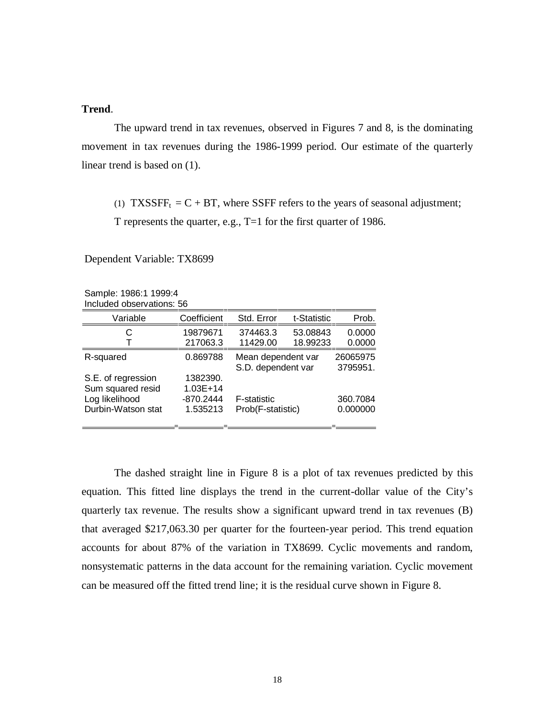#### **Trend**.

The upward trend in tax revenues, observed in Figures 7 and 8, is the dominating movement in tax revenues during the 1986-1999 period. Our estimate of the quarterly linear trend is based on (1).

(1) TXSSFF<sub>t</sub> =  $C$  + BT, where SSFF refers to the years of seasonal adjustment;

T represents the quarter, e.g., T=1 for the first quarter of 1986.

Dependent Variable: TX8699

| Sample: 1986:1 1999:4     |
|---------------------------|
| Included observations: 56 |

| Variable           | Coefficient  | Std. Error         | t-Statistic | Prob.    |
|--------------------|--------------|--------------------|-------------|----------|
| С                  | 19879671     | 374463.3           | 53.08843    | 0.0000   |
|                    | 217063.3     | 11429.00           | 18.99233    | 0.0000   |
| R-squared          | 0.869788     | Mean dependent var |             | 26065975 |
|                    |              | S.D. dependent var |             | 3795951. |
| S.E. of regression | 1382390.     |                    |             |          |
| Sum squared resid  | $1.03E + 14$ |                    |             |          |
| Log likelihood     | $-870.2444$  | <b>F-statistic</b> |             | 360.7084 |
| Durbin-Watson stat | 1.535213     | Prob(F-statistic)  |             | 0.000000 |
|                    |              |                    |             |          |
|                    |              |                    |             |          |

The dashed straight line in Figure 8 is a plot of tax revenues predicted by this equation. This fitted line displays the trend in the current-dollar value of the City's quarterly tax revenue. The results show a significant upward trend in tax revenues (B) that averaged \$217,063.30 per quarter for the fourteen-year period. This trend equation accounts for about 87% of the variation in TX8699. Cyclic movements and random, nonsystematic patterns in the data account for the remaining variation. Cyclic movement can be measured off the fitted trend line; it is the residual curve shown in Figure 8.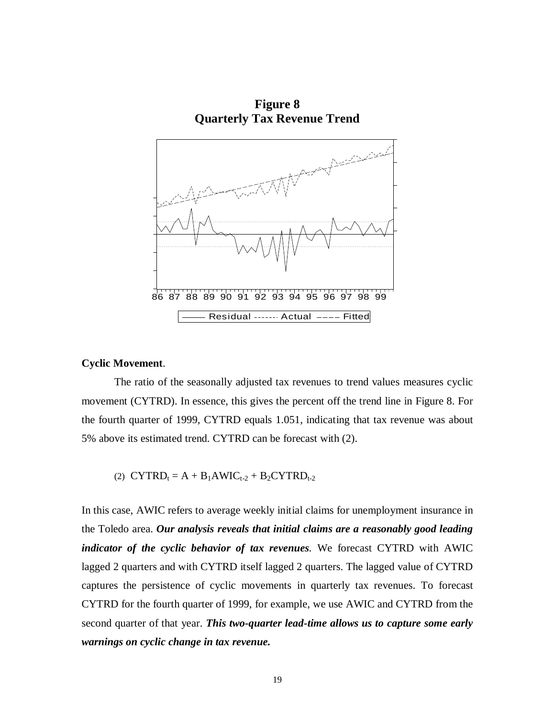**Figure 8 Quarterly Tax Revenue Trend** 



#### **Cyclic Movement**.

The ratio of the seasonally adjusted tax revenues to trend values measures cyclic movement (CYTRD). In essence, this gives the percent off the trend line in Figure 8. For the fourth quarter of 1999, CYTRD equals 1.051, indicating that tax revenue was about 5% above its estimated trend. CYTRD can be forecast with (2).

$$
(2) \ \ \text{CYTRD}_t = A + B_1AWIC_{t\text{-}2} + B_2CYTRD_{t\text{-}2}
$$

In this case, AWIC refers to average weekly initial claims for unemployment insurance in the Toledo area. *Our analysis reveals that initial claims are a reasonably good leading indicator of the cyclic behavior of tax revenues.* We forecast CYTRD with AWIC lagged 2 quarters and with CYTRD itself lagged 2 quarters. The lagged value of CYTRD captures the persistence of cyclic movements in quarterly tax revenues. To forecast CYTRD for the fourth quarter of 1999, for example, we use AWIC and CYTRD from the second quarter of that year. *This two-quarter lead-time allows us to capture some early warnings on cyclic change in tax revenue.*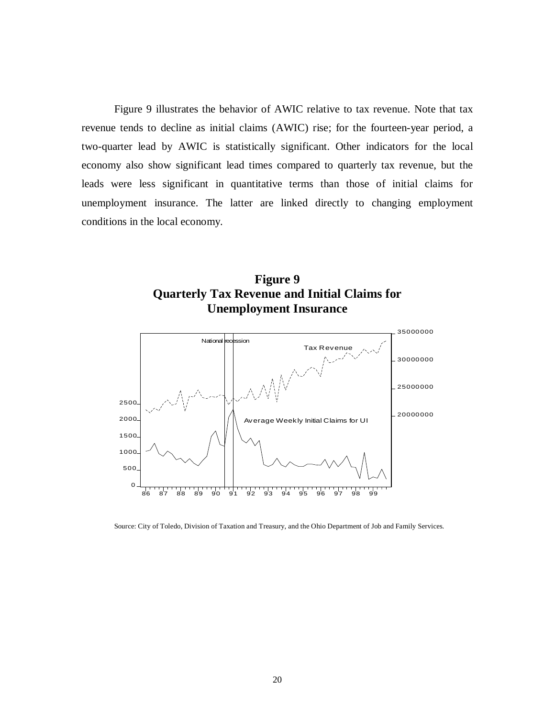Figure 9 illustrates the behavior of AWIC relative to tax revenue. Note that tax revenue tends to decline as initial claims (AWIC) rise; for the fourteen-year period, a two-quarter lead by AWIC is statistically significant. Other indicators for the local economy also show significant lead times compared to quarterly tax revenue, but the leads were less significant in quantitative terms than those of initial claims for unemployment insurance. The latter are linked directly to changing employment conditions in the local economy.





Source: City of Toledo, Division of Taxation and Treasury, and the Ohio Department of Job and Family Services.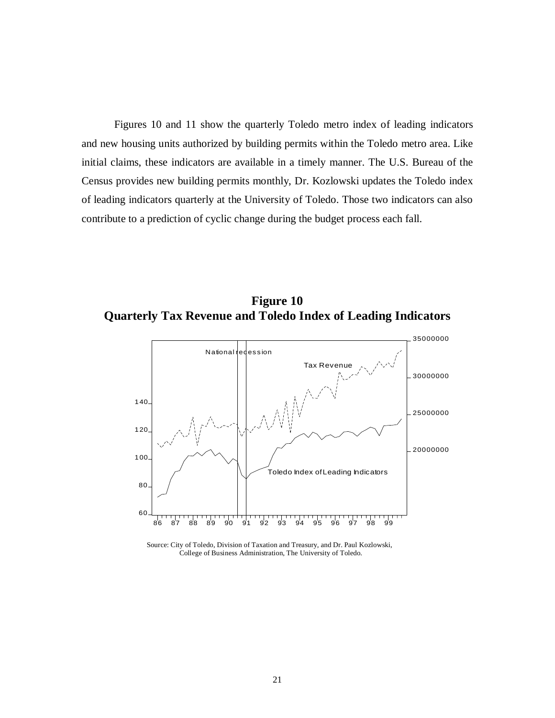Figures 10 and 11 show the quarterly Toledo metro index of leading indicators and new housing units authorized by building permits within the Toledo metro area. Like initial claims, these indicators are available in a timely manner. The U.S. Bureau of the Census provides new building permits monthly, Dr. Kozlowski updates the Toledo index of leading indicators quarterly at the University of Toledo. Those two indicators can also contribute to a prediction of cyclic change during the budget process each fall.

**Figure 10 Quarterly Tax Revenue and Toledo Index of Leading Indicators** 



Source: City of Toledo, Division of Taxation and Treasury, and Dr. Paul Kozlowski, College of Business Administration, The University of Toledo.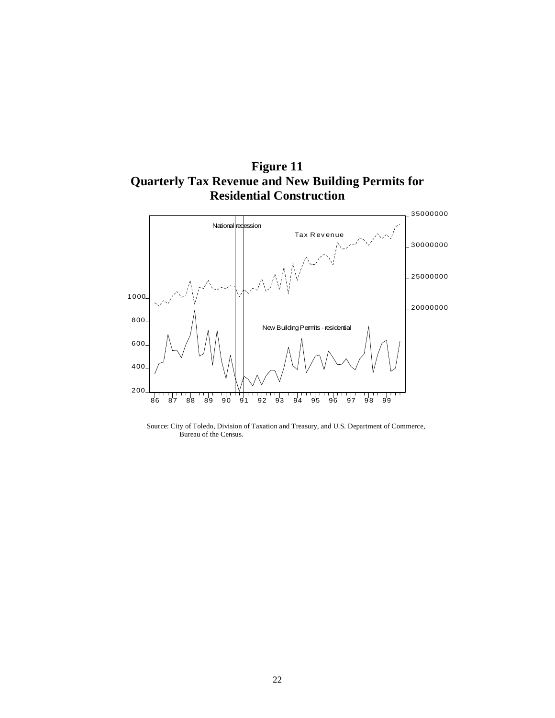



Source: City of Toledo, Division of Taxation and Treasury, and U.S. Department of Commerce, Bureau of the Census.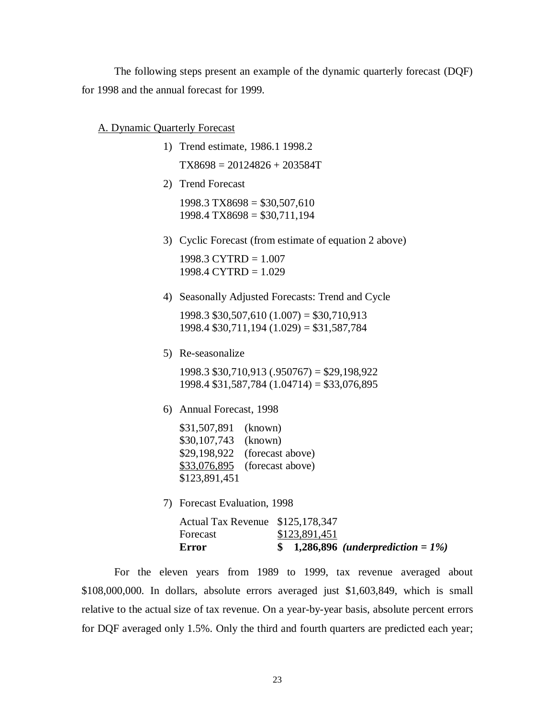The following steps present an example of the dynamic quarterly forecast (DQF) for 1998 and the annual forecast for 1999.

#### A. Dynamic Quarterly Forecast

- 1) Trend estimate, 1986.1 1998.2  $TX8698 = 20124826 + 203584T$
- 2) Trend Forecast

 $1998.3$  TX8698 = \$30,507,610  $1998.4$  TX8698 = \$30,711,194

3) Cyclic Forecast (from estimate of equation 2 above)

1998.3 CYTRD = 1.007 1998.4 CYTRD = 1.029

4) Seasonally Adjusted Forecasts: Trend and Cycle

1998.3 \$30,507,610 (1.007) = \$30,710,913 1998.4 \$30,711,194 (1.029) = \$31,587,784

5) Re-seasonalize

1998.3 \$30,710,913 (.950767) = \$29,198,922 1998.4 \$31,587,784 (1.04714) = \$33,076,895

6) Annual Forecast, 1998

\$31,507,891 (known) \$30,107,743 (known) \$29,198,922 (forecast above) \$33,076,895 (forecast above) \$123,891,451

7) Forecast Evaluation, 1998

| Error                            | \$ 1,286,896 (underprediction = $1\%$ ) |
|----------------------------------|-----------------------------------------|
| Forecast                         | \$123,891,451                           |
| Actual Tax Revenue \$125,178,347 |                                         |

For the eleven years from 1989 to 1999, tax revenue averaged about \$108,000,000. In dollars, absolute errors averaged just \$1,603,849, which is small relative to the actual size of tax revenue. On a year-by-year basis, absolute percent errors for DQF averaged only 1.5%. Only the third and fourth quarters are predicted each year;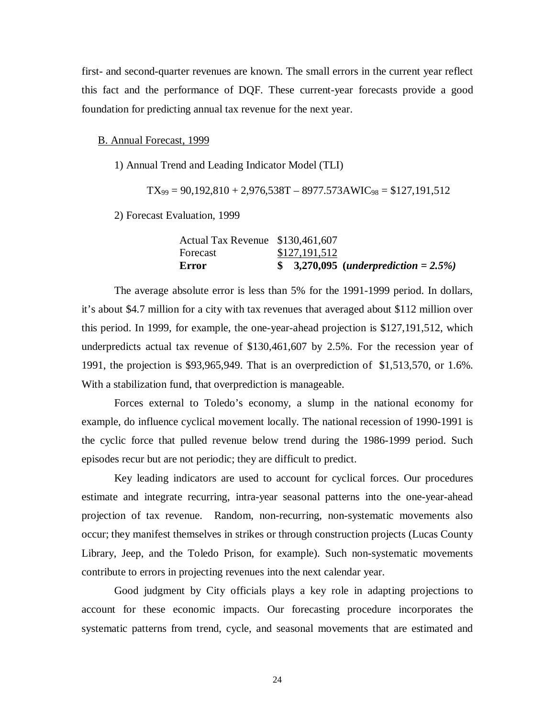first- and second-quarter revenues are known. The small errors in the current year reflect this fact and the performance of DQF. These current-year forecasts provide a good foundation for predicting annual tax revenue for the next year.

#### B. Annual Forecast, 1999

1) Annual Trend and Leading Indicator Model (TLI)

$$
TX_{99} = 90,192,810 + 2,976,538T - 8977.573AWIC_{98} = $127,191,512
$$

2) Forecast Evaluation, 1999

| Error                            | $$3,270,095$ (underprediction = 2.5%) |
|----------------------------------|---------------------------------------|
| Forecast                         | \$127,191,512                         |
| Actual Tax Revenue \$130,461,607 |                                       |

The average absolute error is less than 5% for the 1991-1999 period. In dollars, it's about \$4.7 million for a city with tax revenues that averaged about \$112 million over this period. In 1999, for example, the one-year-ahead projection is \$127,191,512, which underpredicts actual tax revenue of \$130,461,607 by 2.5%. For the recession year of 1991, the projection is \$93,965,949. That is an overprediction of \$1,513,570, or 1.6%. With a stabilization fund, that overprediction is manageable.

Forces external to Toledo's economy, a slump in the national economy for example, do influence cyclical movement locally. The national recession of 1990-1991 is the cyclic force that pulled revenue below trend during the 1986-1999 period. Such episodes recur but are not periodic; they are difficult to predict.

Key leading indicators are used to account for cyclical forces. Our procedures estimate and integrate recurring, intra-year seasonal patterns into the one-year-ahead projection of tax revenue. Random, non-recurring, non-systematic movements also occur; they manifest themselves in strikes or through construction projects (Lucas County Library, Jeep, and the Toledo Prison, for example). Such non-systematic movements contribute to errors in projecting revenues into the next calendar year.

Good judgment by City officials plays a key role in adapting projections to account for these economic impacts. Our forecasting procedure incorporates the systematic patterns from trend, cycle, and seasonal movements that are estimated and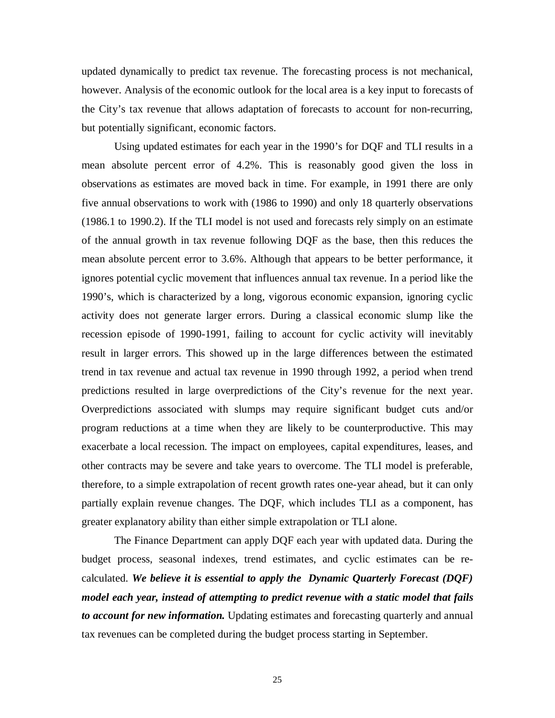updated dynamically to predict tax revenue. The forecasting process is not mechanical, however. Analysis of the economic outlook for the local area is a key input to forecasts of the City's tax revenue that allows adaptation of forecasts to account for non-recurring, but potentially significant, economic factors.

Using updated estimates for each year in the 1990's for DQF and TLI results in a mean absolute percent error of 4.2%. This is reasonably good given the loss in observations as estimates are moved back in time. For example, in 1991 there are only five annual observations to work with (1986 to 1990) and only 18 quarterly observations (1986.1 to 1990.2). If the TLI model is not used and forecasts rely simply on an estimate of the annual growth in tax revenue following DQF as the base, then this reduces the mean absolute percent error to 3.6%. Although that appears to be better performance, it ignores potential cyclic movement that influences annual tax revenue. In a period like the 1990's, which is characterized by a long, vigorous economic expansion, ignoring cyclic activity does not generate larger errors. During a classical economic slump like the recession episode of 1990-1991, failing to account for cyclic activity will inevitably result in larger errors. This showed up in the large differences between the estimated trend in tax revenue and actual tax revenue in 1990 through 1992, a period when trend predictions resulted in large overpredictions of the City's revenue for the next year. Overpredictions associated with slumps may require significant budget cuts and/or program reductions at a time when they are likely to be counterproductive. This may exacerbate a local recession. The impact on employees, capital expenditures, leases, and other contracts may be severe and take years to overcome. The TLI model is preferable, therefore, to a simple extrapolation of recent growth rates one-year ahead, but it can only partially explain revenue changes. The DQF, which includes TLI as a component, has greater explanatory ability than either simple extrapolation or TLI alone.

The Finance Department can apply DQF each year with updated data. During the budget process, seasonal indexes, trend estimates, and cyclic estimates can be recalculated. *We believe it is essential to apply the Dynamic Quarterly Forecast (DQF) model each year, instead of attempting to predict revenue with a static model that fails to account for new information.* Updating estimates and forecasting quarterly and annual tax revenues can be completed during the budget process starting in September.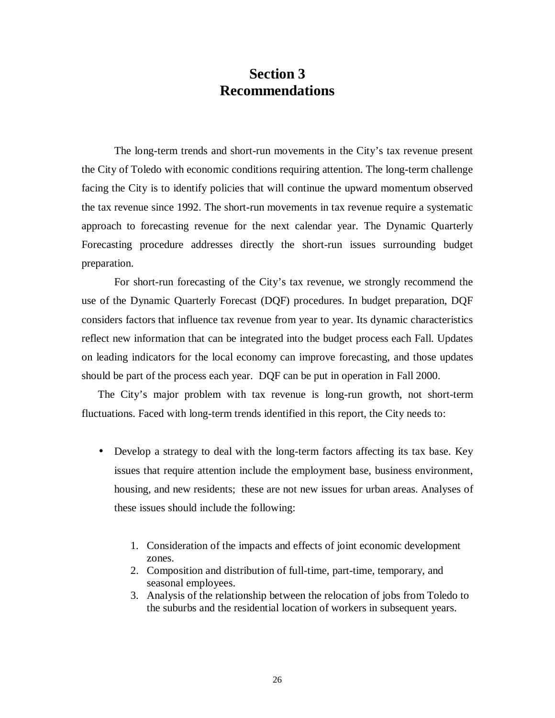### **Section 3 Recommendations**

The long-term trends and short-run movements in the City's tax revenue present the City of Toledo with economic conditions requiring attention. The long-term challenge facing the City is to identify policies that will continue the upward momentum observed the tax revenue since 1992. The short-run movements in tax revenue require a systematic approach to forecasting revenue for the next calendar year. The Dynamic Quarterly Forecasting procedure addresses directly the short-run issues surrounding budget preparation.

For short-run forecasting of the City's tax revenue, we strongly recommend the use of the Dynamic Quarterly Forecast (DQF) procedures. In budget preparation, DQF considers factors that influence tax revenue from year to year. Its dynamic characteristics reflect new information that can be integrated into the budget process each Fall. Updates on leading indicators for the local economy can improve forecasting, and those updates should be part of the process each year. DQF can be put in operation in Fall 2000.

The City's major problem with tax revenue is long-run growth, not short-term fluctuations. Faced with long-term trends identified in this report, the City needs to:

- Develop a strategy to deal with the long-term factors affecting its tax base. Key issues that require attention include the employment base, business environment, housing, and new residents; these are not new issues for urban areas. Analyses of these issues should include the following:
	- 1. Consideration of the impacts and effects of joint economic development zones.
	- 2. Composition and distribution of full-time, part-time, temporary, and seasonal employees.
	- 3. Analysis of the relationship between the relocation of jobs from Toledo to the suburbs and the residential location of workers in subsequent years.